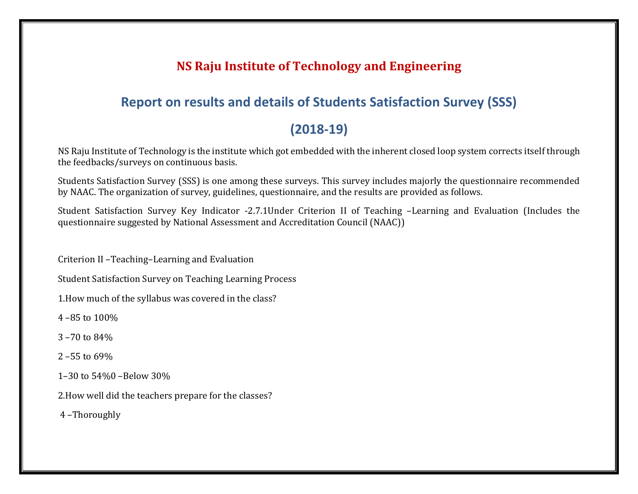## **NS Raju Institute of Technology and Engineering**

### **Report on results and details of Students Satisfaction Survey (SSS)**

### **(2018-19)**

NS Raju Institute of Technology is the institute which got embedded with the inherent closed loop system corrects itself through the feedbacks/surveys on continuous basis.

Students Satisfaction Survey (SSS) is one among these surveys. This survey includes majorly the questionnaire recommended by NAAC. The organization of survey, guidelines, questionnaire, and the results are provided as follows.

Student Satisfaction Survey Key Indicator -2.7.1Under Criterion II of Teaching –Learning and Evaluation (Includes the questionnaire suggested by National Assessment and Accreditation Council (NAAC))

Criterion II –Teaching–Learning and Evaluation

Student Satisfaction Survey on Teaching Learning Process

1.How much of the syllabus was covered in the class?

4 –85 to 100%

3 –70 to 84%

2 –55 to 69%

1–30 to 54%0 –Below 30%

2.How well did the teachers prepare for the classes?

4 –Thoroughly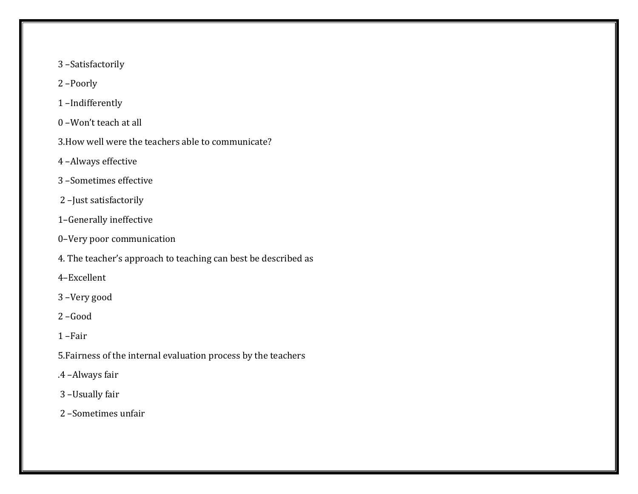- –Satisfactorily
- –Poorly
- –Indifferently
- –Won't teach at all
- 3.How well were the teachers able to communicate?
- –Always effective
- –Sometimes effective
- –Just satisfactorily
- –Generally ineffective
- –Very poor communication
- 4. The teacher's approach to teaching can best be described as
- –Excellent
- –Very good
- –Good
- –Fair
- 5.Fairness of the internal evaluation process by the teachers
- .4 –Always fair
- –Usually fair
- –Sometimes unfair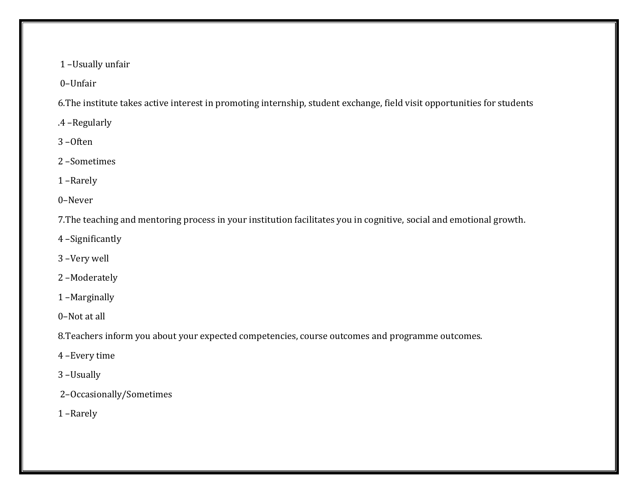–Usually unfair

–Unfair

6.The institute takes active interest in promoting internship, student exchange, field visit opportunities for students

.4 –Regularly

–Often

–Sometimes

–Rarely

–Never

7.The teaching and mentoring process in your institution facilitates you in cognitive, social and emotional growth.

–Significantly

–Very well

–Moderately

–Marginally

–Not at all

8.Teachers inform you about your expected competencies, course outcomes and programme outcomes.

–Every time

–Usually

–Occasionally/Sometimes

–Rarely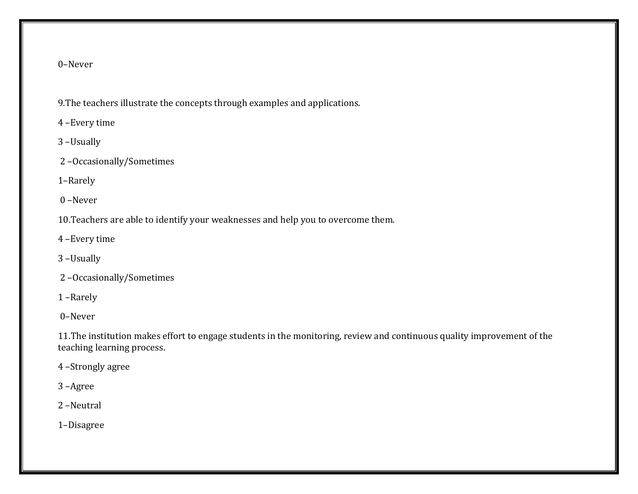#### –Never

9.The teachers illustrate the concepts through examples and applications.

–Every time

–Usually

–Occasionally/Sometimes

–Rarely

–Never

10.Teachers are able to identify your weaknesses and help you to overcome them.

–Every time

–Usually

–Occasionally/Sometimes

–Rarely

–Never

11.The institution makes effort to engage students in the monitoring, review and continuous quality improvement of the teaching learning process.

–Strongly agree

–Agree

–Neutral

–Disagree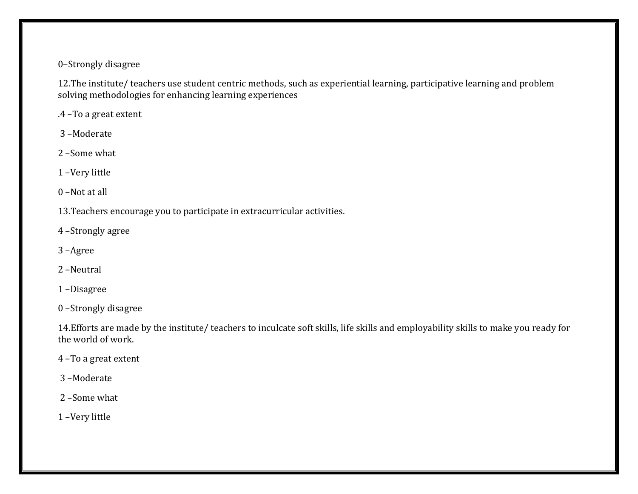#### –Strongly disagree

12.The institute/ teachers use student centric methods, such as experiential learning, participative learning and problem solving methodologies for enhancing learning experiences

.4 –To a great extent

–Moderate

–Some what

–Very little

–Not at all

13.Teachers encourage you to participate in extracurricular activities.

–Strongly agree

–Agree

–Neutral

–Disagree

–Strongly disagree

14.Efforts are made by the institute/ teachers to inculcate soft skills, life skills and employability skills to make you ready for the world of work.

–To a great extent

–Moderate

–Some what

–Very little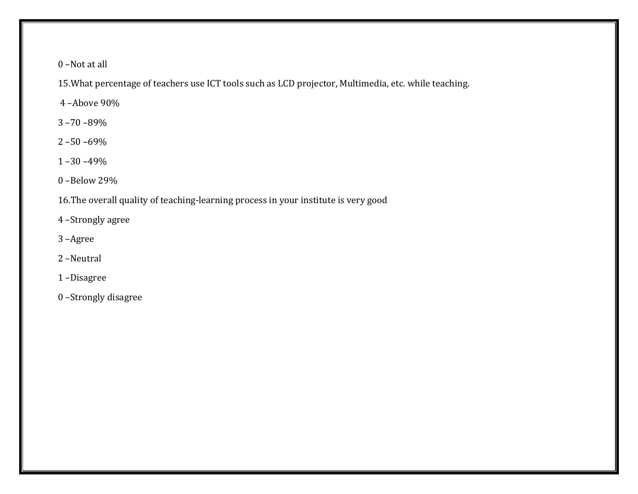–Not at all

15.What percentage of teachers use ICT tools such as LCD projector, Multimedia, etc. while teaching.

–Above 90%

–70 –89%

–50 –69%

–30 –49%

–Below 29%

16.The overall quality of teaching-learning process in your institute is very good

–Strongly agree

–Agree

–Neutral

–Disagree

–Strongly disagree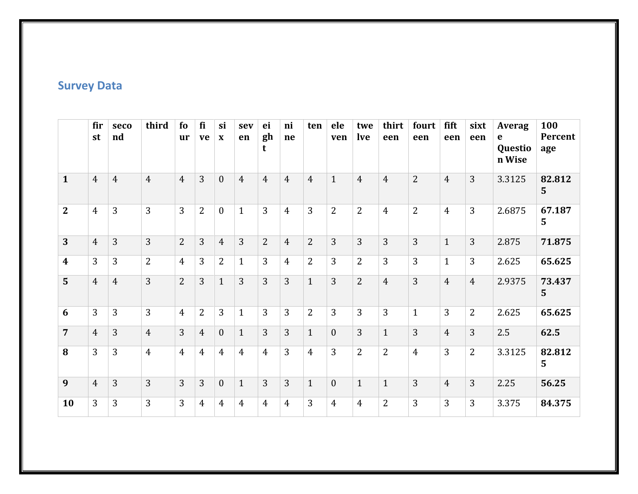# **Survey Data**

|                  | fir<br>st      | seco<br>nd     | third          | fo<br><b>ur</b> | fi<br>ve       | si<br>$\mathbf X$ | sev<br>en      | ei<br>gh<br>t  | ni<br>ne       | ten            | ele<br>ven   | twe<br><b>lve</b> | thirt<br>een   | fourt<br>een   | fift<br>een    | sixt<br>een    | <b>Averag</b><br>e<br>Questio<br>n Wise | 100<br>Percent<br>age |
|------------------|----------------|----------------|----------------|-----------------|----------------|-------------------|----------------|----------------|----------------|----------------|--------------|-------------------|----------------|----------------|----------------|----------------|-----------------------------------------|-----------------------|
| $\mathbf{1}$     | $\overline{4}$ | $\overline{4}$ | $\overline{4}$ | $\overline{4}$  | 3              | $\mathbf{0}$      | $\overline{4}$ | $\overline{4}$ | $\overline{4}$ | $\overline{4}$ | $\mathbf{1}$ | $\overline{4}$    | $\overline{4}$ | $\overline{2}$ | $\overline{4}$ | 3              | 3.3125                                  | 82.812<br>5           |
| $\mathbf{2}$     | $\overline{4}$ | 3              | 3              | $\overline{3}$  | $\overline{2}$ | $\theta$          | $\mathbf{1}$   | 3              | $\overline{4}$ | 3              | 2            | $\overline{2}$    | $\overline{4}$ | $\overline{2}$ | $\overline{4}$ | 3              | 2.6875                                  | 67.187<br>5           |
| 3                | $\overline{4}$ | 3              | 3              | 2               | 3              | $\overline{4}$    | 3              | $\overline{2}$ | $\overline{4}$ | $\overline{2}$ | 3            | $\overline{3}$    | 3              | 3              | $\mathbf{1}$   | 3              | 2.875                                   | 71.875                |
| $\boldsymbol{4}$ | 3              | 3              | $\overline{2}$ | $\overline{4}$  | 3              | $\overline{2}$    | $\mathbf{1}$   | $\overline{3}$ | $\overline{4}$ | $\overline{2}$ | 3            | $\overline{2}$    | 3              | 3              | $\mathbf{1}$   | 3              | 2.625                                   | 65.625                |
| 5                | $\overline{4}$ | $\overline{4}$ | 3              | 2               | $\overline{3}$ | $\mathbf{1}$      | 3              | $\overline{3}$ | 3              | $\mathbf{1}$   | 3            | $2^{\circ}$       | $\overline{4}$ | 3              | $\overline{4}$ | $\overline{4}$ | 2.9375                                  | 73.437<br>5           |
| 6                | 3              | 3              | 3              | $\overline{4}$  | $\overline{2}$ | 3                 | $\mathbf{1}$   | $\overline{3}$ | 3              | $\overline{2}$ | 3            | 3                 | 3              | $\mathbf{1}$   | 3              | $\overline{2}$ | 2.625                                   | 65.625                |
| $\overline{7}$   | $\overline{4}$ | 3              | $\overline{4}$ | $\overline{3}$  | $\overline{4}$ | $\mathbf{0}$      | $\mathbf{1}$   | 3              | 3              | $\mathbf{1}$   | $\mathbf{0}$ | 3                 | $\mathbf{1}$   | 3              | $\overline{4}$ | 3              | 2.5                                     | 62.5                  |
| 8                | 3              | 3              | $\overline{4}$ | $\overline{4}$  | $\overline{4}$ | $\overline{4}$    | $\overline{4}$ | $\overline{4}$ | 3              | $\overline{4}$ | 3            | $\overline{2}$    | $\overline{2}$ | $\overline{4}$ | 3              | $\overline{2}$ | 3.3125                                  | 82.812<br>5           |
| 9                | $\overline{4}$ | 3              | 3              | $\overline{3}$  | 3              | $\mathbf{0}$      | $\mathbf{1}$   | $\overline{3}$ | 3              | $\mathbf{1}$   | $\mathbf{0}$ | $\mathbf{1}$      | $\mathbf{1}$   | 3              | $\overline{4}$ | 3              | 2.25                                    | 56.25                 |
| 10               | 3              | 3              | 3              | $\overline{3}$  | 4              | $\overline{4}$    | $\overline{4}$ | $\overline{4}$ | 4              | 3              | 4            | $\overline{4}$    | $\overline{2}$ | 3              | 3              | 3              | 3.375                                   | 84.375                |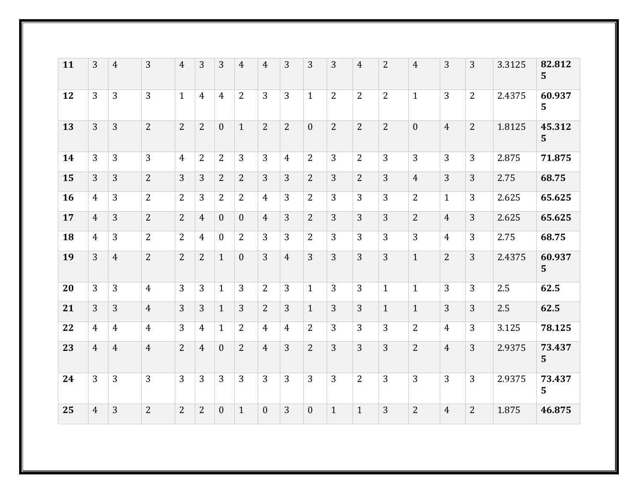| 11 | 3              | $\overline{4}$ | 3              | $\overline{4}$ | 3              | 3                | $\overline{4}$ | $\overline{4}$ | 3              | 3              | 3              | $\overline{4}$ | $\overline{2}$ | $\overline{4}$ | 3              | 3              | 3.3125 | 82.812<br>5 <sup>5</sup> |
|----|----------------|----------------|----------------|----------------|----------------|------------------|----------------|----------------|----------------|----------------|----------------|----------------|----------------|----------------|----------------|----------------|--------|--------------------------|
| 12 | $\overline{3}$ | 3              | $\overline{3}$ | $\mathbf{1}$   | $\overline{4}$ | 4                | 2              | $\overline{3}$ | 3              | $\mathbf{1}$   | $\overline{2}$ | $\overline{2}$ | $\overline{2}$ | $\mathbf{1}$   | 3              | $\overline{2}$ | 2.4375 | 60.937<br>$5^{\circ}$    |
| 13 | $\overline{3}$ | 3              | $\overline{2}$ | $\overline{2}$ | $\overline{2}$ | $\overline{0}$   | $\mathbf{1}$   | $\overline{2}$ | $\overline{2}$ | $\mathbf{0}$   | $\overline{2}$ | $\overline{2}$ | $\overline{2}$ | $\mathbf{0}$   | $\overline{4}$ | $\overline{2}$ | 1.8125 | 45.312<br>$5\phantom{1}$ |
| 14 | $\overline{3}$ | 3              | $\overline{3}$ | $\overline{4}$ | $\overline{2}$ | 2                | 3              | $\overline{3}$ | $\overline{4}$ | $\overline{2}$ | 3              | $\overline{2}$ | 3              | 3              | $\overline{3}$ | $\overline{3}$ | 2.875  | 71.875                   |
| 15 | $\overline{3}$ | 3              | $\overline{2}$ | 3              | 3              | 2                | 2              | $\overline{3}$ | 3              | $\overline{2}$ | $\overline{3}$ | $\overline{2}$ | 3              | $\overline{4}$ | $\overline{3}$ | 3              | 2.75   | 68.75                    |
| 16 | $\overline{4}$ | 3              | 2              | 2              | 3              | 2                | 2              | $\overline{4}$ | 3              | 2              | 3              | 3              | 3              | 2              | $\mathbf{1}$   | 3              | 2.625  | 65.625                   |
| 17 | $\overline{4}$ | 3              | $\overline{2}$ | $\overline{2}$ | $\overline{4}$ | $\mathbf{0}$     | $\overline{0}$ | $\overline{4}$ | 3              | $\overline{2}$ | 3              | 3              | 3              | $\overline{2}$ | $\overline{4}$ | 3              | 2.625  | 65.625                   |
| 18 | $\overline{4}$ | 3              | $\overline{2}$ | $\overline{2}$ | 4              | $\boldsymbol{0}$ | $\overline{2}$ | 3              | 3              | 2              | $\overline{3}$ | 3              | 3              | $\overline{3}$ | $\overline{4}$ | 3              | 2.75   | 68.75                    |
| 19 | $\overline{3}$ | $\overline{4}$ | $\overline{2}$ | $\overline{2}$ | $\overline{2}$ | $\mathbf{1}$     | $\mathbf{0}$   | $\overline{3}$ | $\overline{4}$ | $\overline{3}$ | 3              | $\overline{3}$ | 3              | $\mathbf{1}$   | $\overline{2}$ | 3              | 2.4375 | 60.937<br>5 <sup>1</sup> |
| 20 | 3              | 3              | $\overline{4}$ | 3              | 3              | $\mathbf{1}$     | 3              | 2              | 3              | $\mathbf{1}$   | 3              | 3              | $\mathbf{1}$   | $\mathbf{1}$   | 3              | 3              | 2.5    | 62.5                     |
| 21 | $\overline{3}$ | 3              | $\overline{4}$ | 3              | 3              | $\mathbf{1}$     | 3              | $\overline{2}$ | 3              | $\mathbf{1}$   | 3              | 3              | $\mathbf{1}$   | $\mathbf{1}$   | 3              | 3              | 2.5    | 62.5                     |
| 22 | 4              | 4              | $\overline{4}$ | 3              | 4              | $\mathbf{1}$     | 2              | $\overline{4}$ | $\overline{4}$ | $\overline{2}$ | 3              | 3              | 3              | 2              | $\overline{4}$ | 3              | 3.125  | 78.125                   |
| 23 | $\overline{4}$ | $\overline{4}$ | $\overline{4}$ | $\overline{2}$ | $\overline{4}$ | $\mathbf{0}$     | $\overline{2}$ | $\overline{4}$ | 3              | $\overline{2}$ | 3              | 3              | 3              | $\overline{2}$ | $\overline{4}$ | 3              | 2.9375 | 73.437<br>5              |
| 24 | $\overline{3}$ | 3              | 3              | $\overline{3}$ | 3              | 3                | 3              | $\overline{3}$ | 3              | 3              | 3              | 2              | 3              | $\overline{3}$ | $\overline{3}$ | 3              | 2.9375 | 73.437<br>5              |
| 25 | $\overline{4}$ | $\overline{3}$ | $\overline{2}$ | $\overline{2}$ | $\overline{2}$ | $\overline{0}$   | $\mathbf{1}$   | $\theta$       | 3              | $\mathbf{0}$   | $\mathbf{1}$   | $\mathbf{1}$   | 3              | $\overline{2}$ | $\overline{4}$ | $\overline{2}$ | 1.875  | 46.875                   |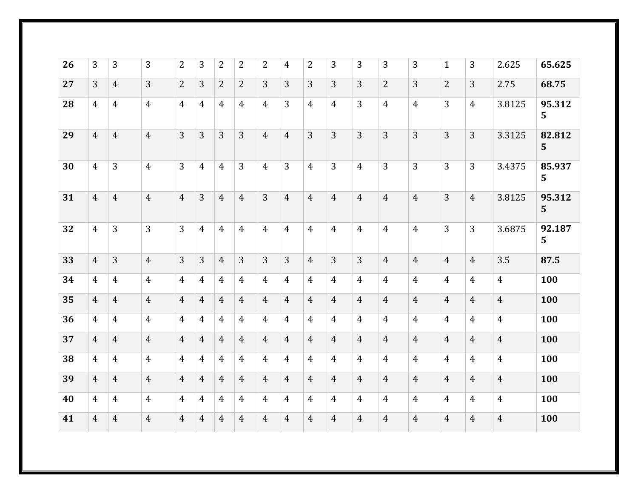| 26 | 3              | 3              | 3              | 2              | 3              | $\overline{2}$ | 2              | 2              | $\overline{4}$ | $\overline{2}$ | 3              | 3              | 3              | 3              | $\mathbf{1}$   | 3              | 2.625          | 65.625                   |
|----|----------------|----------------|----------------|----------------|----------------|----------------|----------------|----------------|----------------|----------------|----------------|----------------|----------------|----------------|----------------|----------------|----------------|--------------------------|
| 27 | 3              | $\overline{4}$ | 3              | $\overline{2}$ | 3              | $\overline{2}$ | $\overline{2}$ | 3              | 3              | 3              | 3              | 3              | $\overline{2}$ | 3              | $\overline{2}$ | 3              | 2.75           | 68.75                    |
| 28 | $\overline{4}$ | $\overline{4}$ | $\overline{4}$ | $\overline{4}$ | 4              | 4              | $\overline{4}$ | $\overline{4}$ | 3              | $\overline{4}$ | $\overline{4}$ | 3              | $\overline{4}$ | $\overline{4}$ | 3              | $\overline{4}$ | 3.8125         | 95.312<br>5              |
| 29 | $\overline{4}$ | $\overline{4}$ | $\overline{4}$ | 3              | 3              | 3              | $\overline{3}$ | $\overline{4}$ | $\overline{4}$ | $\overline{3}$ | 3              | $\overline{3}$ | 3              | 3              | 3              | 3              | 3.3125         | 82.812<br>5              |
| 30 | $\overline{4}$ | 3              | $\overline{4}$ | $\overline{3}$ | $\overline{4}$ | $\overline{4}$ | 3              | $\overline{4}$ | 3              | $\overline{4}$ | 3              | $\overline{4}$ | 3              | 3              | 3              | 3              | 3.4375         | 85.937<br>$5\phantom{1}$ |
| 31 | $\overline{4}$ | $\overline{4}$ | $\overline{4}$ | $\overline{4}$ | 3              | $\overline{4}$ | $\overline{4}$ | 3              | $\overline{4}$ | $\overline{4}$ | $\overline{4}$ | $\overline{4}$ | $\overline{4}$ | $\overline{4}$ | $\overline{3}$ | $\overline{4}$ | 3.8125         | 95.312<br>5              |
| 32 | $\overline{4}$ | 3              | $\overline{3}$ | $\overline{3}$ | $\overline{4}$ | $\overline{4}$ | $\overline{4}$ | $\overline{4}$ | $\overline{4}$ | $\overline{4}$ | $\overline{4}$ | $\overline{4}$ | $\overline{4}$ | $\overline{4}$ | $\overline{3}$ | $\overline{3}$ | 3.6875         | 92.187<br>5              |
| 33 | $\overline{4}$ | 3              | $\overline{4}$ | $\overline{3}$ | 3              | $\overline{4}$ | 3              | $\overline{3}$ | 3              | $\overline{4}$ | 3              | $\overline{3}$ | $\overline{4}$ | $\overline{4}$ | $\overline{4}$ | $\overline{4}$ | 3.5            | 87.5                     |
| 34 | $\overline{4}$ | 4              | $\overline{4}$ | $\overline{4}$ | 4              | $\overline{4}$ | $\overline{4}$ | $\overline{4}$ | 4              | $\overline{4}$ | $\overline{4}$ | $\overline{4}$ | 4              | $\overline{4}$ | $\overline{4}$ | $\overline{4}$ | $\overline{4}$ | 100                      |
| 35 | $\overline{4}$ | $\overline{4}$ | $\overline{4}$ | $\overline{4}$ | $\overline{4}$ | $\overline{4}$ | $\overline{4}$ | $\overline{4}$ | $\overline{4}$ | $\overline{4}$ | $\overline{4}$ | $\overline{4}$ | $\overline{4}$ | $\overline{4}$ | $\overline{4}$ | $\overline{4}$ | $\overline{4}$ | 100                      |
| 36 | $\overline{4}$ | $\overline{4}$ | $\overline{4}$ | $\overline{4}$ | $\overline{4}$ | $\overline{4}$ | $\overline{4}$ | $\overline{4}$ | $\overline{4}$ | $\overline{4}$ | $\overline{4}$ | $\overline{4}$ | $\overline{4}$ | $\overline{4}$ | $\overline{4}$ | $\overline{4}$ | $\overline{4}$ | 100                      |
| 37 | $\overline{4}$ | $\overline{4}$ | $\overline{4}$ | $\overline{4}$ | $\overline{4}$ | $\overline{4}$ | $\overline{4}$ | $\overline{4}$ | $\overline{4}$ | $\overline{4}$ | $\overline{4}$ | $\overline{4}$ | $\overline{4}$ | $\overline{4}$ | $\overline{4}$ | $\overline{4}$ | $\overline{4}$ | 100                      |
| 38 | $\overline{4}$ | $\overline{4}$ | $\overline{4}$ | $\overline{4}$ | $\overline{4}$ | $\overline{4}$ | $\overline{4}$ | $\overline{4}$ | $\overline{4}$ | $\overline{4}$ | $\overline{4}$ | $\overline{4}$ | $\overline{4}$ | $\overline{4}$ | $\overline{4}$ | $\overline{4}$ | $\overline{4}$ | 100                      |
| 39 | $\overline{4}$ | $\overline{4}$ | $\overline{4}$ | $\overline{4}$ | $\overline{4}$ | $\overline{4}$ | $\overline{4}$ | $\overline{4}$ | $\overline{4}$ | $\overline{4}$ | $\overline{4}$ | $\overline{4}$ | $\overline{4}$ | $\overline{4}$ | $\overline{4}$ | $\overline{4}$ | $\overline{4}$ | 100                      |
| 40 | $\overline{4}$ | $\overline{4}$ | $\overline{4}$ | $\overline{4}$ | $\overline{4}$ | $\overline{4}$ | $\overline{4}$ | $\overline{4}$ | $\overline{4}$ | $\overline{4}$ | $\overline{4}$ | $\overline{4}$ | $\overline{4}$ | $\overline{4}$ | $\overline{4}$ | $\overline{4}$ | $\overline{4}$ | 100                      |
| 41 | $\overline{4}$ | $\overline{4}$ | $\overline{4}$ | $\overline{4}$ | $\overline{4}$ | $\overline{4}$ | $\overline{4}$ | $\overline{4}$ | $\overline{4}$ | $\overline{4}$ | $\overline{4}$ | $\overline{4}$ | $\overline{4}$ | $\overline{4}$ | $\overline{4}$ | $\overline{4}$ | $\overline{4}$ | 100                      |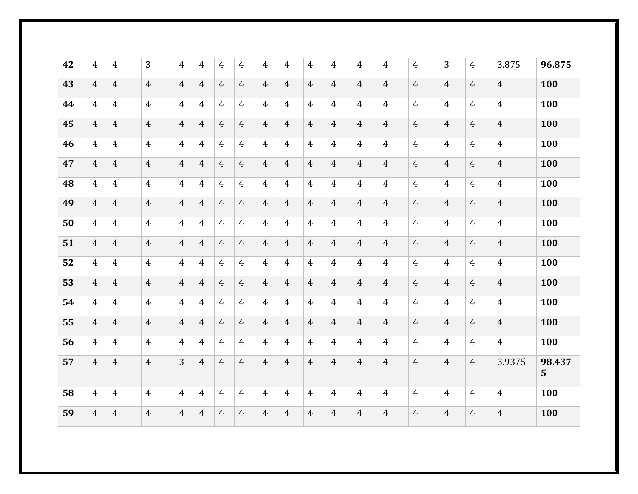| 42 | 4              | $\overline{4}$ | 3              | 4              | 4              | 4              | 4              | $\overline{4}$ | 4              | $\overline{4}$ | $\overline{4}$ | $\overline{4}$ | 4              | $\overline{4}$ | 3              | $\overline{4}$ | 3.875          | 96.875                   |
|----|----------------|----------------|----------------|----------------|----------------|----------------|----------------|----------------|----------------|----------------|----------------|----------------|----------------|----------------|----------------|----------------|----------------|--------------------------|
| 43 | $\overline{4}$ | $\overline{4}$ | $\overline{4}$ | $\overline{4}$ | 4              | $\overline{4}$ | $\overline{4}$ | $\overline{4}$ | $\overline{4}$ | $\overline{4}$ | $\overline{4}$ | $\overline{4}$ | $\overline{4}$ | $\overline{4}$ | $\overline{4}$ | $\overline{4}$ | $\overline{4}$ | 100                      |
| 44 | 4              | $\overline{4}$ | $\overline{4}$ | $\overline{4}$ | 4              | $\overline{4}$ | $\overline{4}$ | $\overline{4}$ | $\overline{4}$ | $\overline{4}$ | $\overline{4}$ | $\overline{4}$ | $\overline{4}$ | $\overline{4}$ | $\overline{4}$ | $\overline{4}$ | $\overline{4}$ | 100                      |
| 45 | $\overline{4}$ | $\overline{4}$ | $\overline{4}$ | $\overline{4}$ | $\overline{4}$ | $\overline{4}$ | $\overline{4}$ | $\overline{4}$ | $\overline{4}$ | $\overline{4}$ | $\overline{4}$ | $\overline{4}$ | $\overline{4}$ | $\overline{4}$ | $\overline{4}$ | $\overline{4}$ | $\overline{4}$ | 100                      |
| 46 | 4              | $\overline{4}$ | $\overline{4}$ | $\overline{4}$ | $\overline{4}$ | $\overline{4}$ | $\overline{4}$ | $\overline{4}$ | $\overline{4}$ | $\overline{4}$ | $\overline{4}$ | $\overline{4}$ | $\overline{4}$ | $\overline{4}$ | $\overline{4}$ | $\overline{4}$ | $\overline{4}$ | 100                      |
| 47 | $\overline{4}$ | $\overline{4}$ | $\overline{4}$ | $\overline{4}$ | $\overline{4}$ | $\overline{4}$ | $\overline{4}$ | $\overline{4}$ | $\overline{4}$ | $\overline{4}$ | $\overline{4}$ | $\overline{4}$ | $\overline{4}$ | $\overline{4}$ | $\overline{4}$ | $\overline{4}$ | $\overline{4}$ | 100                      |
| 48 | 4              | $\overline{4}$ | $\overline{4}$ | $\overline{4}$ | $\overline{4}$ | $\overline{4}$ | $\overline{4}$ | $\overline{4}$ | $\overline{4}$ | $\overline{4}$ | $\overline{4}$ | $\overline{4}$ | $\overline{4}$ | $\overline{4}$ | $\overline{4}$ | $\overline{4}$ | $\overline{4}$ | 100                      |
| 49 | $\overline{4}$ | $\overline{4}$ | $\overline{4}$ | $\overline{4}$ | $\overline{4}$ | $\overline{4}$ | $\overline{4}$ | $\overline{4}$ | $\overline{4}$ | $\overline{4}$ | $\overline{4}$ | $\overline{4}$ | $\overline{4}$ | $\overline{4}$ | $\overline{4}$ | $\overline{4}$ | $\overline{4}$ | 100                      |
| 50 | $\overline{4}$ | $\overline{4}$ | $\overline{4}$ | $\overline{4}$ | $\overline{4}$ | $\overline{4}$ | $\overline{4}$ | $\overline{4}$ | $\overline{4}$ | $\overline{4}$ | $\overline{4}$ | $\overline{4}$ | $\overline{4}$ | $\overline{4}$ | $\overline{4}$ | $\overline{4}$ | $\overline{4}$ | 100                      |
| 51 | $\overline{4}$ | $\overline{4}$ | $\overline{4}$ | $\overline{4}$ | $\overline{4}$ | $\overline{4}$ | $\overline{4}$ | $\overline{4}$ | $\overline{4}$ | $\overline{4}$ | $\overline{4}$ | $\overline{4}$ | $\overline{4}$ | $\overline{4}$ | $\overline{4}$ | $\overline{4}$ | $\overline{4}$ | 100                      |
| 52 | 4              | $\overline{4}$ | $\overline{4}$ | $\overline{4}$ | $\overline{4}$ | $\overline{4}$ | $\overline{4}$ | $\overline{4}$ | $\overline{4}$ | $\overline{4}$ | $\overline{4}$ | $\overline{4}$ | $\overline{4}$ | $\overline{4}$ | $\overline{4}$ | $\overline{4}$ | $\overline{4}$ | 100                      |
| 53 | $\overline{4}$ | $\overline{4}$ | $\overline{4}$ | $\overline{4}$ | $\overline{4}$ | $\overline{4}$ | $\overline{4}$ | $\overline{4}$ | $\overline{4}$ | $\overline{4}$ | $\overline{4}$ | $\overline{4}$ | $\overline{4}$ | $\overline{4}$ | $\overline{4}$ | $\overline{4}$ | $\overline{4}$ | 100                      |
| 54 | $\overline{4}$ | $\overline{4}$ | $\overline{4}$ | $\overline{4}$ | $\overline{4}$ | $\overline{4}$ | $\overline{4}$ | $\overline{4}$ | $\overline{4}$ | $\overline{4}$ | $\overline{4}$ | $\overline{4}$ | $\overline{4}$ | $\overline{4}$ | $\overline{4}$ | $\overline{4}$ | $\overline{4}$ | 100                      |
| 55 | $\overline{4}$ | $\overline{4}$ | $\overline{4}$ | $\overline{4}$ | $\overline{4}$ | $\overline{4}$ | $\overline{4}$ | $\overline{4}$ | $\overline{4}$ | $\overline{4}$ | $\overline{4}$ | $\overline{4}$ | $\overline{4}$ | $\overline{4}$ | $\overline{4}$ | $\overline{4}$ | $\overline{4}$ | 100                      |
| 56 | $\overline{4}$ | $\overline{4}$ | $\overline{4}$ | $\overline{4}$ | $\overline{4}$ | $\overline{4}$ | $\overline{4}$ | $\overline{4}$ | $\overline{4}$ | $\overline{4}$ | $\overline{4}$ | $\overline{4}$ | $\overline{4}$ | $\overline{4}$ | $\overline{4}$ | $\overline{4}$ | $\overline{4}$ | 100                      |
| 57 | $\overline{4}$ | $\overline{4}$ | $\overline{4}$ | $\overline{3}$ | $\overline{4}$ | $\overline{4}$ | $\overline{4}$ | $\overline{4}$ | $\overline{4}$ | $\overline{4}$ | $\overline{4}$ | $\overline{4}$ | $\overline{4}$ | $\overline{4}$ | $\overline{4}$ | $\overline{4}$ | 3.9375         | 98.437<br>5 <sup>5</sup> |
| 58 | $\overline{4}$ | $\overline{4}$ | $\overline{4}$ | 4              | $\overline{4}$ | $\overline{4}$ | $\overline{4}$ | $\overline{4}$ | $\overline{4}$ | $\overline{4}$ | $\overline{4}$ | $\overline{4}$ | $\overline{4}$ | $\overline{4}$ | $\overline{4}$ | $\overline{4}$ | $\overline{4}$ | 100                      |
| 59 | $\overline{4}$ | $\overline{4}$ | $\overline{4}$ | $\overline{4}$ | $\overline{4}$ | $\overline{4}$ | $\overline{4}$ | $\overline{4}$ | $\overline{4}$ | $\overline{4}$ | $\overline{4}$ | $\overline{4}$ | $\overline{4}$ | $\overline{4}$ | $\overline{4}$ | $\overline{4}$ | $\overline{4}$ | 100                      |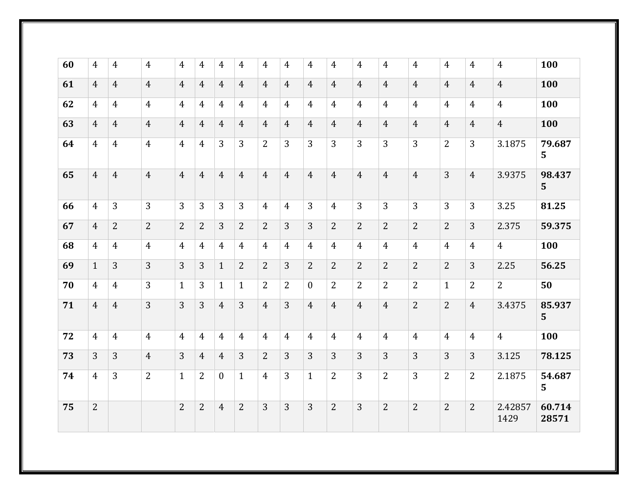| 60 | $\overline{4}$ | 4              | $\overline{4}$ | 4              | $\overline{4}$ | 4              | $\overline{4}$ | $\overline{4}$ | 4              | $\overline{4}$ | 4              | $\overline{4}$ | $\overline{4}$ | $\overline{4}$ | $\overline{4}$ | 4              | $\overline{4}$  | 100             |
|----|----------------|----------------|----------------|----------------|----------------|----------------|----------------|----------------|----------------|----------------|----------------|----------------|----------------|----------------|----------------|----------------|-----------------|-----------------|
| 61 | $\overline{4}$ | $\overline{4}$ | $\overline{4}$ | $\overline{4}$ | $\overline{4}$ | $\overline{4}$ | $\overline{4}$ | $\overline{4}$ | $\overline{4}$ | $\overline{4}$ | $\overline{4}$ | $\overline{4}$ | $\overline{4}$ | $\overline{4}$ | $\overline{4}$ | $\overline{4}$ | $\overline{4}$  | 100             |
| 62 | 4              | $\overline{4}$ | $\overline{4}$ | $\overline{4}$ | 4              | $\overline{4}$ | $\overline{4}$ | $\overline{4}$ | $\overline{4}$ | $\overline{4}$ | $\overline{4}$ | $\overline{4}$ | $\overline{4}$ | $\overline{4}$ | $\overline{4}$ | $\overline{4}$ | $\overline{4}$  | 100             |
| 63 | 4              | $\overline{4}$ | $\overline{4}$ | $\overline{4}$ | $\overline{4}$ | $\overline{4}$ | $\overline{4}$ | $\overline{4}$ | $\overline{4}$ | $\overline{4}$ | $\overline{4}$ | $\overline{4}$ | $\overline{4}$ | $\overline{4}$ | $\overline{4}$ | $\overline{4}$ | $\overline{4}$  | 100             |
| 64 | 4              | $\overline{4}$ | $\overline{4}$ | $\overline{4}$ | 4              | 3              | 3              | $\overline{2}$ | 3              | 3              | 3              | 3              | 3              | 3              | $\overline{2}$ | 3              | 3.1875          | 79.687<br>5     |
| 65 | $\overline{4}$ | $\overline{4}$ | $\overline{4}$ | $\overline{4}$ | $\overline{4}$ | $\overline{4}$ | $\overline{4}$ | $\overline{4}$ | $\overline{4}$ | $\overline{4}$ | $\overline{4}$ | $\overline{4}$ | $\overline{4}$ | $\overline{4}$ | 3              | $\overline{4}$ | 3.9375          | 98.437<br>5     |
| 66 | $\overline{4}$ | 3              | 3              | 3              | 3              | 3              | 3              | $\overline{4}$ | $\overline{4}$ | 3              | $\overline{4}$ | 3              | 3              | 3              | 3              | 3              | 3.25            | 81.25           |
| 67 | $\overline{4}$ | $\overline{2}$ | $\overline{2}$ | $\overline{2}$ | $\overline{2}$ | 3              | $\overline{2}$ | $\overline{2}$ | 3              | 3              | $\overline{2}$ | 2              | $\overline{2}$ | $\overline{2}$ | $\overline{2}$ | 3              | 2.375           | 59.375          |
| 68 | $\overline{4}$ | $\overline{4}$ | $\overline{4}$ | $\overline{4}$ | $\overline{4}$ | $\overline{4}$ | $\overline{4}$ | $\overline{4}$ | $\overline{4}$ | $\overline{4}$ | $\overline{4}$ | $\overline{4}$ | $\overline{4}$ | $\overline{4}$ | $\overline{4}$ | $\overline{4}$ | $\overline{4}$  | 100             |
| 69 | $\mathbf{1}$   | 3              | 3              | 3              | 3              | $\mathbf{1}$   | $\overline{2}$ | $\overline{2}$ | 3              | $\overline{2}$ | 2              | $\overline{2}$ | $\overline{2}$ | $\overline{2}$ | $\overline{2}$ | 3              | 2.25            | 56.25           |
| 70 | 4              | $\overline{4}$ | 3              | $\mathbf{1}$   | 3              | $\mathbf{1}$   | $\mathbf{1}$   | $\overline{2}$ | 2              | $\mathbf{0}$   | 2              | 2              | $\overline{2}$ | 2              | $\mathbf{1}$   | $\overline{2}$ | 2               | 50              |
| 71 | $\overline{4}$ | $\overline{4}$ | 3              | 3              | 3              | $\overline{4}$ | 3              | $\overline{4}$ | 3              | $\overline{4}$ | $\overline{4}$ | $\overline{4}$ | $\overline{4}$ | 2              | $\overline{2}$ | $\overline{4}$ | 3.4375          | 85.937<br>5     |
| 72 | $\overline{4}$ | $\overline{4}$ | $\overline{4}$ | $\overline{4}$ | $\overline{4}$ | $\overline{4}$ | $\overline{4}$ | $\overline{4}$ | $\overline{4}$ | $\overline{4}$ | $\overline{4}$ | $\overline{4}$ | $\overline{4}$ | $\overline{4}$ | $\overline{4}$ | $\overline{4}$ | $\overline{4}$  | 100             |
| 73 | 3              | $\overline{3}$ | $\overline{4}$ | 3              | $\overline{4}$ | $\overline{4}$ | 3              | $\overline{2}$ | 3              | $\overline{3}$ | 3              | 3              | 3              | 3              | 3              | 3              | 3.125           | 78.125          |
| 74 | 4              | 3              | $\overline{2}$ | $\mathbf{1}$   | $\overline{2}$ | $\overline{0}$ | $\mathbf{1}$   | $\overline{4}$ | 3              | $\mathbf{1}$   | 2              | 3              | $\overline{2}$ | 3              | 2              | 2              | 2.1875          | 54.687<br>5     |
| 75 | $\overline{2}$ |                |                | $\overline{2}$ | $\overline{2}$ | $\overline{4}$ | $\overline{2}$ | 3              | 3              | $\overline{3}$ | $\overline{2}$ | 3              | $\overline{2}$ | $\overline{2}$ | $\overline{2}$ | $\overline{2}$ | 2.42857<br>1429 | 60.714<br>28571 |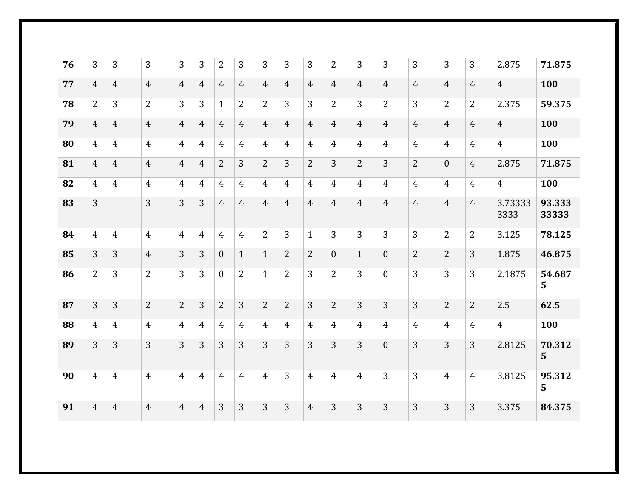| 76 | 3              | 3              | 3              | 3              | 3              | $\overline{2}$   | 3              | 3              | 3              | 3              | 2                | 3              | 3              | 3              | 3              | 3              | 2.875           | 71.875          |
|----|----------------|----------------|----------------|----------------|----------------|------------------|----------------|----------------|----------------|----------------|------------------|----------------|----------------|----------------|----------------|----------------|-----------------|-----------------|
| 77 | 4              | $\overline{4}$ | $\overline{4}$ | 4              | $\overline{4}$ | $\overline{4}$   | $\overline{4}$ | $\overline{4}$ | $\overline{4}$ | $\overline{4}$ | $\overline{4}$   | $\overline{4}$ | 4              | $\overline{4}$ | $\overline{4}$ | $\overline{4}$ | $\overline{4}$  | 100             |
| 78 | 2              | 3              | 2              | 3              | 3              | $\mathbf{1}$     | $\overline{2}$ | $\overline{2}$ | 3              | 3              | 2                | 3              | 2              | 3              | $\overline{2}$ | $\overline{2}$ | 2.375           | 59.375          |
| 79 | $\overline{4}$ | $\overline{4}$ | $\overline{4}$ | $\overline{4}$ | $\overline{4}$ | $\overline{4}$   | $\overline{4}$ | $\overline{4}$ | $\overline{4}$ | $\overline{4}$ | $\overline{4}$   | $\overline{4}$ | $\overline{4}$ | $\overline{4}$ | $\overline{4}$ | $\overline{4}$ | $\overline{4}$  | 100             |
| 80 | 4              | $\overline{4}$ | $\overline{4}$ | $\overline{4}$ | $\overline{4}$ | $\overline{4}$   | $\overline{4}$ | $\overline{4}$ | $\overline{4}$ | $\overline{4}$ | $\overline{4}$   | $\overline{4}$ | $\overline{4}$ | $\overline{4}$ | $\overline{4}$ | $\overline{4}$ | $\overline{4}$  | 100             |
| 81 | $\overline{4}$ | $\overline{4}$ | $\overline{4}$ | $\overline{4}$ | $\overline{4}$ | $\overline{2}$   | 3              | $\overline{2}$ | 3              | $\overline{2}$ | 3                | $\overline{2}$ | 3              | $\overline{2}$ | $\mathbf{0}$   | $\overline{4}$ | 2.875           | 71.875          |
| 82 | $\overline{4}$ | $\overline{4}$ | $\overline{4}$ | $\overline{4}$ | $\overline{4}$ | $\overline{4}$   | $\overline{4}$ | $\overline{4}$ | 4              | $\overline{4}$ | $\overline{4}$   | $\overline{4}$ | $\overline{4}$ | $\overline{4}$ | $\overline{4}$ | $\overline{4}$ | $\overline{4}$  | 100             |
| 83 | 3              |                | 3              | $\overline{3}$ | $\overline{3}$ | $\overline{4}$   | $\overline{4}$ | $\overline{4}$ | $\overline{4}$ | $\overline{4}$ | $\overline{4}$   | $\overline{4}$ | $\overline{4}$ | $\overline{4}$ | $\overline{4}$ | $\overline{4}$ | 3.73333<br>3333 | 93.333<br>33333 |
| 84 | $\overline{4}$ | $\overline{4}$ | $\overline{4}$ | $\overline{4}$ | $\overline{4}$ | 4                | $\overline{4}$ | $\overline{2}$ | 3              | $\mathbf{1}$   | 3                | 3              | 3              | 3              | $\overline{2}$ | 2              | 3.125           | 78.125          |
| 85 | 3              | 3              | $\overline{4}$ | 3              | 3              | $\mathbf{0}$     | $\mathbf{1}$   | $\mathbf{1}$   | $\overline{2}$ | $\overline{2}$ | $\boldsymbol{0}$ | $\mathbf{1}$   | $\theta$       | $\overline{2}$ | $\overline{2}$ | 3              | 1.875           | 46.875          |
| 86 | 2              | 3              | $\overline{2}$ | 3              | 3              | $\boldsymbol{0}$ | $\overline{2}$ | $\mathbf{1}$   | $\overline{2}$ | 3              | $\overline{2}$   | 3              | $\theta$       | 3              | 3              | 3              | 2.1875          | 54.687<br>5     |
| 87 | 3              | 3              | $\overline{2}$ | $\overline{2}$ | 3              | $\overline{2}$   | 3              | $\overline{2}$ | $\overline{2}$ | 3              | $\overline{2}$   | $\overline{3}$ | 3              | 3              | $\overline{2}$ | $\overline{2}$ | 2.5             | 62.5            |
| 88 | $\overline{4}$ | $\overline{4}$ | $\overline{4}$ | $\overline{4}$ | $\overline{4}$ | $\overline{4}$   | $\overline{4}$ | $\overline{4}$ | 4              | $\overline{4}$ | $\overline{4}$   | $\overline{4}$ | $\overline{4}$ | 4              | $\overline{4}$ | $\overline{4}$ | $\overline{4}$  | 100             |
| 89 | 3              | 3              | 3              | 3              | 3              | 3                | 3              | 3              | 3              | 3              | 3                | 3              | $\overline{0}$ | 3              | 3              | 3              | 2.8125          | 70.312<br>5     |
| 90 | $\overline{4}$ | $\overline{4}$ | $\overline{4}$ | $\overline{4}$ | $\overline{4}$ | $\overline{4}$   | $\overline{4}$ | $\overline{4}$ | 3              | $\overline{4}$ | $\overline{4}$   | $\overline{4}$ | 3              | 3              | $\overline{4}$ | $\overline{4}$ | 3.8125          | 95.312<br>5     |
| 91 | $\overline{4}$ | $\overline{4}$ | $\overline{4}$ | $\overline{4}$ | $\overline{4}$ | 3                | 3              | $\overline{3}$ | 3              | $\overline{4}$ | 3                | 3              | 3              | 3              | 3              | 3              | 3.375           | 84.375          |